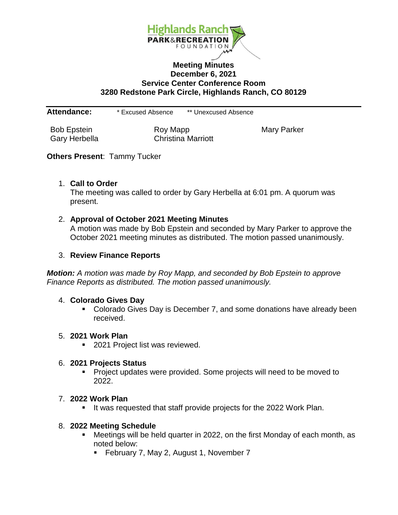

## **Meeting Minutes December 6, 2021 Service Center Conference Room 3280 Redstone Park Circle, Highlands Ranch, CO 80129**

**Attendance:** \* Excused Absence \*\* Unexcused Absence

Bob Epstein **Roy Mapp** Roy Mapp Mary Parker Gary Herbella Christina Marriott

## **Others Present**: Tammy Tucker

### 1. **Call to Order**

The meeting was called to order by Gary Herbella at 6:01 pm. A quorum was present.

### 2. **Approval of October 2021 Meeting Minutes**

A motion was made by Bob Epstein and seconded by Mary Parker to approve the October 2021 meeting minutes as distributed. The motion passed unanimously.

### 3. **Review Finance Reports**

*Motion: A motion was made by Roy Mapp, and seconded by Bob Epstein to approve Finance Reports as distributed. The motion passed unanimously.*

#### 4. **Colorado Gives Day**

• Colorado Gives Day is December 7, and some donations have already been received.

#### 5. **2021 Work Plan**

■ 2021 Project list was reviewed.

#### 6. **2021 Projects Status**

**Project updates were provided. Some projects will need to be moved to** 2022.

#### 7. **2022 Work Plan**

It was requested that staff provide projects for the 2022 Work Plan.

#### 8. **2022 Meeting Schedule**

- Meetings will be held quarter in 2022, on the first Monday of each month, as noted below:
	- **February 7, May 2, August 1, November 7**